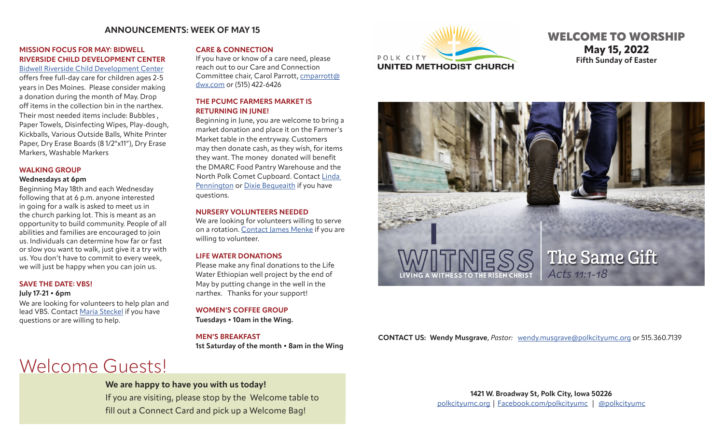# **ANNOUNCEMENTS: WEEK OF MAY 15**

## **MISSION FOCUS FOR MAY: BIDWELL RIVERSIDE CHILD DEVELOPMENT CENTER**

[Bidwell Riverside Child Development Center](https://www.bidwellriverside.org/) offers free full-day care for children ages 2-5 years in Des Moines. Please consider making a donation during the month of May. Drop off items in the collection bin in the narthex. Their most needed items include: Bubbles , Paper Towels, Disinfecting Wipes, Play-dough, Kickballs, Various Outside Balls, White Printer Paper, Dry Erase Boards (8 1/2"x11"), Dry Erase Markers, Washable Markers

#### **WALKING GROUP**

#### **Wednesdays at 6pm**

Beginning May 18th and each Wednesday following that at 6 p.m. anyone interested in going for a walk is asked to meet us in the church parking lot. This is meant as an opportunity to build community. People of all abilities and families are encouraged to join us. Individuals can determine how far or fast or slow you want to walk, just give it a try with us. You don't have to commit to every week, we will just be happy when you can join us.

#### **SAVE THE DATE: VBS!**

#### **July 17-21 • 6pm**

We are looking for volunteers to help plan and lead VBS. Contact [Maria Steckel](mailto:rialynn99_4%40msn.com?subject=VBS) if you have questions or are willing to help.

#### **CARE & CONNECTION**

If you have or know of a care need, please reach out to our Care and Connection Committee chair, Carol Parrott, [cmparrott@](mailto:cmparrott%40dwx.com?subject=Care%20Need) [dwx.com](mailto:cmparrott%40dwx.com?subject=Care%20Need) or (515) 422-6426

#### **THE PCUMC FARMERS MARKET IS RETURNING IN JUNE!**

Beginning in June, you are welcome to bring a market donation and place it on the Farmer's Market table in the entryway. Customers may then donate cash, as they wish, for items they want. The money donated will benefit the DMARC Food Pantry Warehouse and the North Polk Comet Cupboard. Contact [Linda](mailto:penningtonlinda30%40gmail.com?subject=PCUMC%20Farmer%27s%20Market)  [Pennington](mailto:penningtonlinda30%40gmail.com?subject=PCUMC%20Farmer%27s%20Market) or [Dixie Bequeaith](mailto:dbequeai967%40msn.com?subject=PCUMC%20Farmer%27s%20Market) if you have questions.

#### **NURSERY VOLUNTEERS NEEDED**

We are looking for volunteers willing to serve on a rotation. [Contact](mailto:jemenke12%40gmail.com?subject=Nursery%20Volunteer) James Menke if you are willing to volunteer.

## **LIFE WATER DONATIONS**

Please make any final donations to the Life Water Ethiopian well project by the end of May by putting change in the well in the narthex. Thanks for your support!

# **WOMEN'S COFFEE GROUP**

**Tuesdays • 10am in the Wing.** 

#### **MEN'S BREAKFAST**

**1st Saturday of the month • 8am in the Wing** 

# Welcome Guests!

# **We are happy to have you with us today!**

If you are visiting, please stop by the Welcome table to fill out a Connect Card and pick up a Welcome Bag!



# WELCOME TO WORSHIP **May 15, 2022 Fifth Sunday of Easter**



## **CONTACT US: Wendy Musgrave**, *Pastor:* [wendy.musgrave@polkcityumc.org](mailto:wendy.musgrave%40polkcityumc.org?subject=) or 515.360.7139

**1421 W. Broadway St, Polk City, Iowa 50226** [polkcityumc.org](http://polkcityumc.org) | [Facebook.com/polkcityumc](http://Facebook.com/polkcityumc) | [@polkcityumc](https://www.instagram.com/polkcityyouth/)